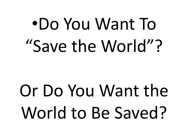# •Do You Want To "Save the World"?

# Or Do You Want the World to Be Saved?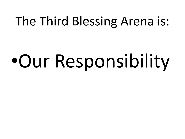## The Third Blessing Arena is:

# •Our Responsibility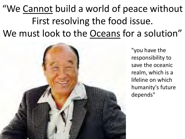## "We Cannot build a world of peace without First resolving the food issue. We must look to the Oceans for a solution"



"you have the responsibility to save the oceanic realm, which is a lifeline on which humanity's future depends"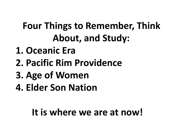## **Four Things to Remember, Think About, and Study:**

- **1. Oceanic Era**
- **2. Pacific Rim Providence**
- **3. Age of Women**
- **4. Elder Son Nation**

## **It is where we are at now!**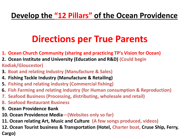#### **Develop the "12 Pillars" of the Ocean Providence**

## **Directions per True Parents**

- **1. Ocean Church Community (sharing and practicing TP's Vision for Ocean)**
- **2. Ocean Institute and University (Education and R&D) (Could begin Kodiak/Gloucestor)**
- **3. Boat and relating Industry (Manufacture & Sales)**
- **4. Fishing Tackle Industry (Manufacture & Retailing)**
- **5. Fishing and relating industry (Commercial fishing)**
- **6. Fish Farming and relating industry (for Human consumption & Reproduction)**
- **7. Seafood Business (Processing, distributing, wholesale and retail)**
- **8. Seafood Restaurant Business**
- **9. Ocean Providence Bank**
- **10. Ocean Providence Media—(Websites only so far)**
- **11. Ocean relating Art, Music and Culture (A few songs produced, videos)**
- **12. Ocean Tourist business & Transportation (Hotel, Charter boat, Cruse Ship, Ferry, Cargo)**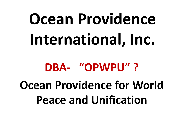# **Ocean Providence International, Inc.**

## **DBA- "OPWPU" ? Ocean Providence for World Peace and Unification**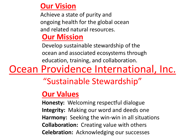#### **Our Vision**

Achieve a state of purity and ongoing health for the global ocean and related natural resources.

#### **Our Mission**

Develop sustainable stewardship of the ocean and associated ecosystems through education, training, and collaboration.

## Ocean Providence International, Inc.

### "Sustainable Stewardship"

#### **Our Values**

**Honesty:** Welcoming respectful dialogue **Integrity:** Making our word and deeds one **Harmony:** Seeking the win-win in all situations **Collaboration:** Creating value with others **Celebration:** Acknowledging our successes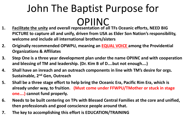## John The Baptist Purpose for OPIINC

- **1. Facilitate the unity and overall representation of all TFs Oceanic efforts, NEED BIG PICTURE to capture all and unify, driven from USA as Elder Son Nation's responsibility, welcome and include all international brothers/sisters**
- **2. Originally recommended OPWPU, meaning an EQUAL VOICE among the Providential Organizations & Affiliates**
- **3. Step One is a three year development plan under the name OPIINC and with cooperation and blessing of TM and leadership. (Dr. Kim B of D….but not enough….)**
- **4. Shall have an inreach and an outreach components in line with TM's desire for orgs. Sustainable, 2nd Gen, Outreach**
- **5. Shall be a three stage effort to help bring the Oceanic Era, Pacific Rim Era, which is already under way, to fruition. (Must come under FFWPU/TMother or stuck in stage one….) cannot fund properly.**
- **6. Needs to be built centering on TPs with Blessed Central Families at the core and unified, then professionals and good conscience people around that.**
- **7. The key to accomplishing this effort is EDUCATION/TRAINING**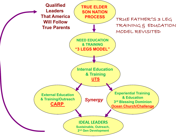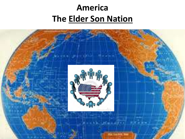### **America The Elder Son Nation**

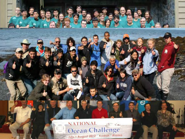#### NATIONAL  $-47$   $124$ Ocean Challenge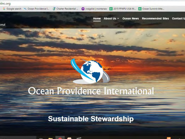

### **Ocean Providence International**

#### **Sustainable Stewardship**



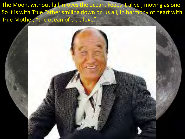The Moon, without fail, moves the ocean, keeps it alive , moving as one. So it is with True Father smiling down on us all, in harmony of heart with True Mother, "the ocean of true love".

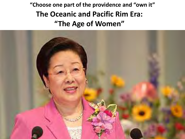**The Oceanic and Pacific Rim Era: "The Age of Women" "Choose one part of the providence and "own it"**